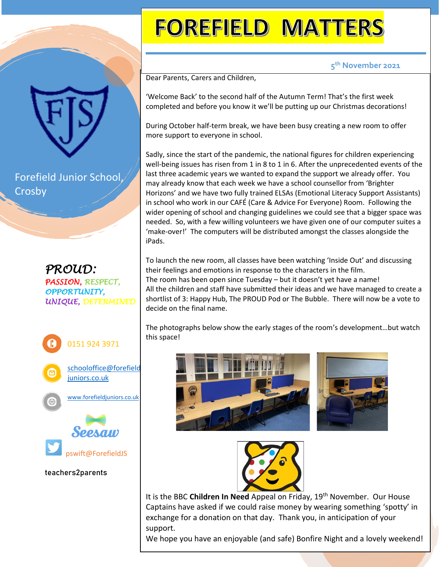## **FOREFIELD MATTERS**

## **5 th November 2021**

Dear Parents, Carers and Children,

'Welcome Back' to the second half of the Autumn Term! That's the first week completed and before you know it we'll be putting up our Christmas decorations!

During October half-term break, we have been busy creating a new room to offer more support to everyone in school.

Sadly, since the start of the pandemic, the national figures for children experiencing well-being issues has risen from 1 in 8 to 1 in 6. After the unprecedented events of the last three academic years we wanted to expand the support we already offer. You may already know that each week we have a school counsellor from 'Brighter Horizons' and we have two fully trained ELSAs (Emotional Literacy Support Assistants) in school who work in our CAFÉ (Care & Advice For Everyone) Room. Following the wider opening of school and changing guidelines we could see that a bigger space was needed. So, with a few willing volunteers we have given one of our computer suites a 'make-over!' The computers will be distributed amongst the classes alongside the iPads.

To launch the new room, all classes have been watching 'Inside Out' and discussing their feelings and emotions in response to the characters in the film. The room has been open since Tuesday – but it doesn't yet have a name! All the children and staff have submitted their ideas and we have managed to create a shortlist of 3: Happy Hub, The PROUD Pod or The Bubble. There will now be a vote to decide on the final name.

The photographs below show the early stages of the room's development…but watch this space!







It is the BBC **Children In Need** Appeal on Friday, 19th November. Our House Captains have asked if we could raise money by wearing something 'spotty' in exchange for a donation on that day. Thank you, in anticipation of your support.

We hope you have an enjoyable (and safe) Bonfire Night and a lovely weekend!

Forefield Junior School, Crosby

*PROUD: PASSION, RESPECT, OPPORTUNITY, UNIQUE, DETERMINED*



## **teachers2parents**